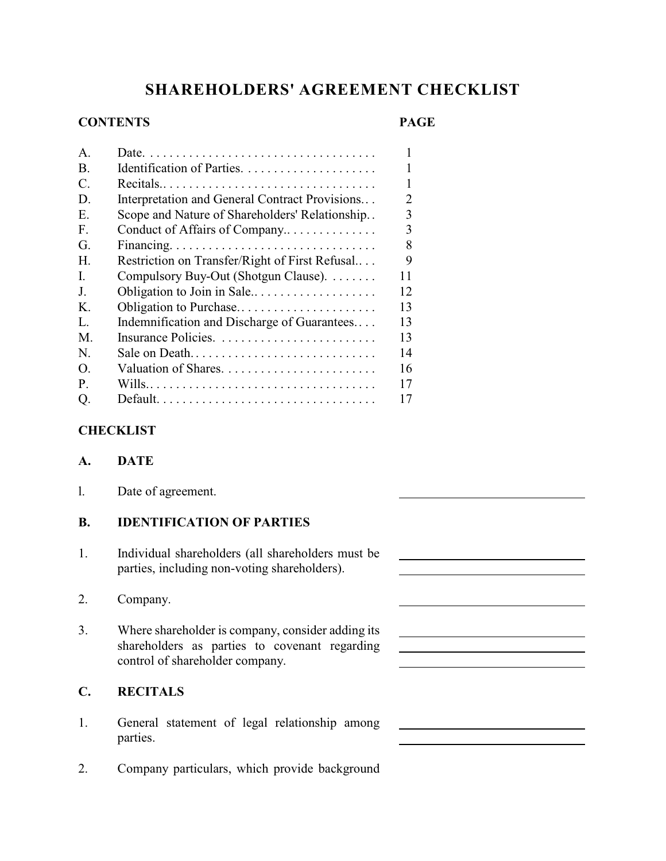# **SHAREHOLDERS' AGREEMENT CHECKLIST**

# **CONTENTS PAGE**

 $\overline{a}$ 

| $\mathsf{A}$    |                                                                                   | 1              |
|-----------------|-----------------------------------------------------------------------------------|----------------|
| B.              |                                                                                   | 1              |
| $\mathcal{C}$ . | $Recials \dots \dots \dots \dots \dots \dots \dots \dots \dots \dots \dots \dots$ | 1              |
| D.              | Interpretation and General Contract Provisions                                    | $\overline{2}$ |
| Ε.              | Scope and Nature of Shareholders' Relationship                                    | 3              |
| $F_{\cdot}$     | Conduct of Affairs of Company                                                     | 3              |
| G.              |                                                                                   | 8              |
| $H_{\cdot}$     | Restriction on Transfer/Right of First Refusal                                    | 9              |
| L               | Compulsory Buy-Out (Shotgun Clause).                                              | 11             |
| J.              | Obligation to Join in Sale                                                        | 12             |
| K.              | Obligation to Purchase                                                            | 13             |
| $\mathbf{L}$    | Indemnification and Discharge of Guarantees                                       | 13             |
| M.              |                                                                                   | 13             |
| N.              | Sale on Death                                                                     | 14             |
| $\Omega$ .      |                                                                                   | 16             |
| P.              |                                                                                   | 17             |
| Q.              |                                                                                   | 17             |

# **CHECKLIST**

# **A. DATE**

l. Date of agreement.

# **B. IDENTIFICATION OF PARTIES**

- 1. Individual shareholders (all shareholders must be parties, including non-voting shareholders).
- 2. Company.
- 3. Where shareholder is company, consider adding its shareholders as parties to covenant regarding control of shareholder company.

# **C. RECITALS**

- 1. General statement of legal relationship among parties.
- 2. Company particulars, which provide background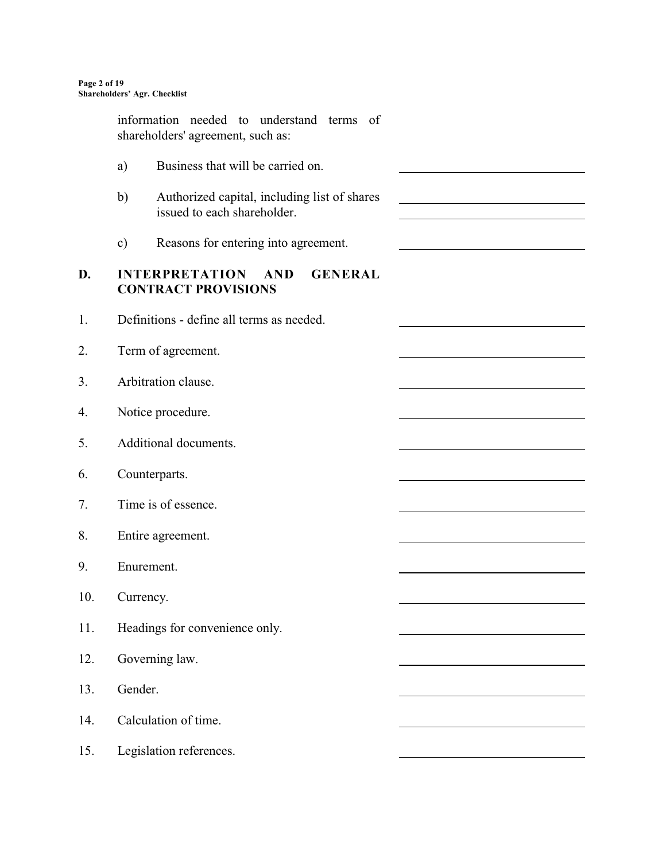information needed to understand terms of shareholders' agreement, such as: a) Business that will be carried on. b) Authorized capital, including list of shares issued to each shareholder.  $\overline{a}$ c) Reasons for entering into agreement. **D. INTERPRETATION AND GENERAL CONTRACT PROVISIONS** 1. Definitions - define all terms as needed. 2. Term of agreement. 3. Arbitration clause. 4. Notice procedure. 5. Additional documents. 6. Counterparts. 7. Time is of essence. 8. Entire agreement. 9. Enurement. 10. Currency. 11. Headings for convenience only. 12. Governing law. 13. Gender. 14. Calculation of time. 15. Legislation references.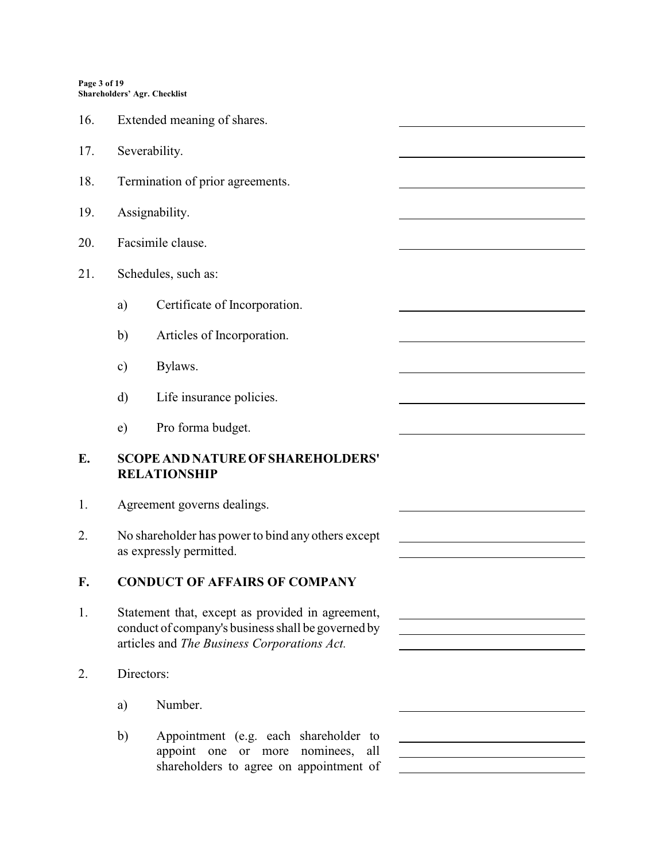#### **Page 3 of 19 Shareholders' Agr. Checklist**

| 16. |                                                                 | Extended meaning of shares.                                                                                                                           |  |  |
|-----|-----------------------------------------------------------------|-------------------------------------------------------------------------------------------------------------------------------------------------------|--|--|
| 17. |                                                                 | Severability.                                                                                                                                         |  |  |
| 18. |                                                                 | Termination of prior agreements.                                                                                                                      |  |  |
| 19. |                                                                 | Assignability.                                                                                                                                        |  |  |
| 20. |                                                                 | Facsimile clause.                                                                                                                                     |  |  |
| 21. |                                                                 | Schedules, such as:                                                                                                                                   |  |  |
|     | a)                                                              | Certificate of Incorporation.                                                                                                                         |  |  |
|     | b)                                                              | Articles of Incorporation.                                                                                                                            |  |  |
|     | $\mathbf{c})$                                                   | Bylaws.                                                                                                                                               |  |  |
|     | d)                                                              | Life insurance policies.                                                                                                                              |  |  |
|     | e)                                                              | Pro forma budget.                                                                                                                                     |  |  |
| E.  | <b>SCOPE AND NATURE OF SHAREHOLDERS'</b><br><b>RELATIONSHIP</b> |                                                                                                                                                       |  |  |
| 1.  |                                                                 | Agreement governs dealings.                                                                                                                           |  |  |
| 2.  |                                                                 | No shareholder has power to bind any others except<br>as expressly permitted.                                                                         |  |  |
| F.  | <b>CONDUCT OF AFFAIRS OF COMPANY</b>                            |                                                                                                                                                       |  |  |
| 1.  |                                                                 | Statement that, except as provided in agreement,<br>conduct of company's business shall be governed by<br>articles and The Business Corporations Act. |  |  |
| 2.  | Directors:                                                      |                                                                                                                                                       |  |  |
|     | a)                                                              | Number.                                                                                                                                               |  |  |
|     | b)                                                              | Appointment (e.g. each shareholder to<br>appoint one<br>more nominees,<br>all<br>or                                                                   |  |  |

shareholders to agree on appointment of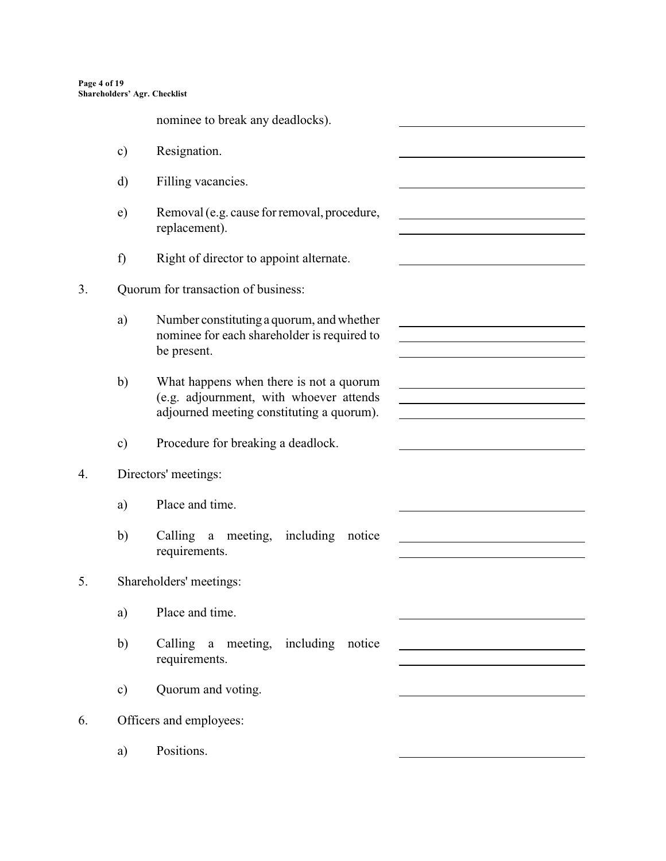**Page 4 of 19 Shareholders' Agr. Checklist**

nominee to break any deadlocks).

- c) Resignation.
- d) Filling vacancies.
- e) Removal (e.g. cause for removal, procedure, replacement).

l

 $\overline{a}$ 

<u> 1989 - Johann Barbara, martxa alemaniar a</u>

 $\overline{a}$ 

l

- f) Right of director to appoint alternate.
- 3. Quorum for transaction of business:
	- a) Number constituting a quorum, and whether nominee for each shareholder is required to be present.
	- b) What happens when there is not a quorum (e.g. adjournment, with whoever attends adjourned meeting constituting a quorum).
	- c) Procedure for breaking a deadlock.
- 4. Directors' meetings:
	- a) Place and time.
	- b) Calling a meeting, including notice requirements.
- 5. Shareholders' meetings:
	- a) Place and time.
	- b) Calling a meeting, including notice requirements.
	- c) Quorum and voting.
- 6. Officers and employees:
	- a) Positions.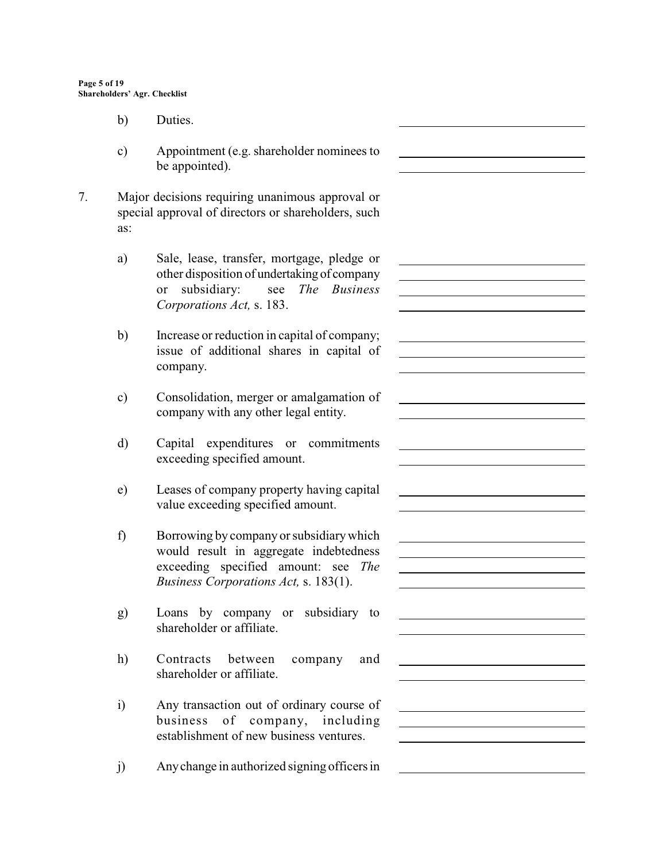- b) Duties.
- c) Appointment (e.g. shareholder nominees to be appointed).

l

 $\overline{a}$ 

l

l

<u> 1990 - Johann Barbara, martxa alemaniar a</u>

 $\overline{a}$ 

 $\overline{a}$ 

l

 $\overline{a}$ 

l

- 7. Major decisions requiring unanimous approval or special approval of directors or shareholders, such as:
	- a) Sale, lease, transfer, mortgage, pledge or other disposition of undertaking of company or subsidiary: see *The Business Corporations Act,* s. 183.
	- b) Increase or reduction in capital of company; issue of additional shares in capital of company.
	- c) Consolidation, merger or amalgamation of company with any other legal entity.
	- d) Capital expenditures or commitments exceeding specified amount.
	- e) Leases of company property having capital value exceeding specified amount.
	- f) Borrowing by company or subsidiary which would result in aggregate indebtedness exceeding specified amount: see *The Business Corporations Act,* s. 183(1).
	- g) Loans by company or subsidiary to shareholder or affiliate.
	- h) Contracts between company and shareholder or affiliate.
	- i) Any transaction out of ordinary course of business of company, including establishment of new business ventures.
	- j) Anychange in authorized signing officersin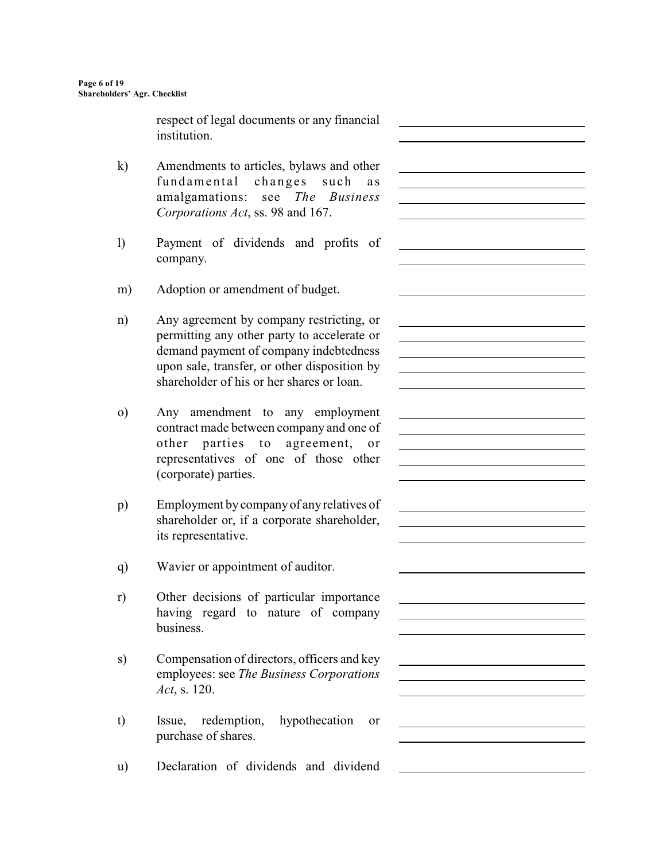respect of legal documents or any financial institution.

 $\overline{a}$ 

 $\overline{a}$ 

l

 $\overline{a}$ 

l

l

l

<u> 1989 - Johann Barbara, martxa alemaniar a</u>

<u> 1980 - Johann Barn, mars eta bainar eta baina eta baina eta baina eta baina eta baina eta baina eta baina e</u>

- k) Amendments to articles, bylaws and other fundamental changes such as amalgamations: see *The Business Corporations Act*, ss. 98 and 167.
- l) Payment of dividends and profits of company.
- m) Adoption or amendment of budget.
- n) Any agreement by company restricting, or permitting any other party to accelerate or demand payment of company indebtedness upon sale, transfer, or other disposition by shareholder of his or her shares or loan.
- o) Any amendment to any employment contract made between company and one of other parties to agreement, or representatives of one of those other (corporate) parties.
- p) Employment by company of any relatives of shareholder or, if a corporate shareholder, its representative.
- q) Wavier or appointment of auditor.
- r) Other decisions of particular importance having regard to nature of company business.
- s) Compensation of directors, officers and key employees: see *The Business Corporations Act*, s. 120.
- t) Issue, redemption, hypothecation or purchase of shares.
- u) Declaration of dividends and dividend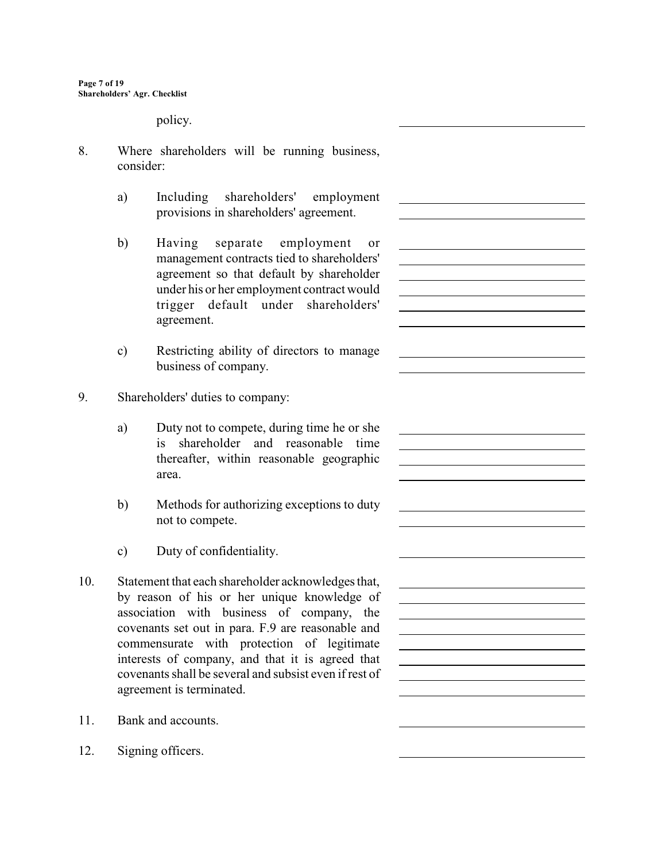policy.

- 8. Where shareholders will be running business, consider:
	- a) Including shareholders' employment provisions in shareholders' agreement.

 $\overline{a}$ 

 $\overline{a}$ 

l

 $\overline{a}$ 

 $\overline{a}$ 

<u> 1980 - Johann Barn, mars eta bainar eta baina eta baina eta baina eta baina eta baina eta baina eta baina e</u>

- b) Having separate employment or management contracts tied to shareholders' agreement so that default by shareholder under his or her employment contract would trigger default under shareholders' agreement.
- c) Restricting ability of directors to manage business of company.
- 9. Shareholders' duties to company:
	- a) Duty not to compete, during time he or she is shareholder and reasonable time thereafter, within reasonable geographic area.
	- b) Methods for authorizing exceptions to duty not to compete.
	- c) Duty of confidentiality.
- 10. Statement that each shareholder acknowledges that, by reason of his or her unique knowledge of association with business of company, the covenants set out in para. F.9 are reasonable and commensurate with protection of legitimate interests of company, and that it is agreed that covenants shall be several and subsist even if rest of agreement is terminated.
- 11. Bank and accounts.
- 12. Signing officers.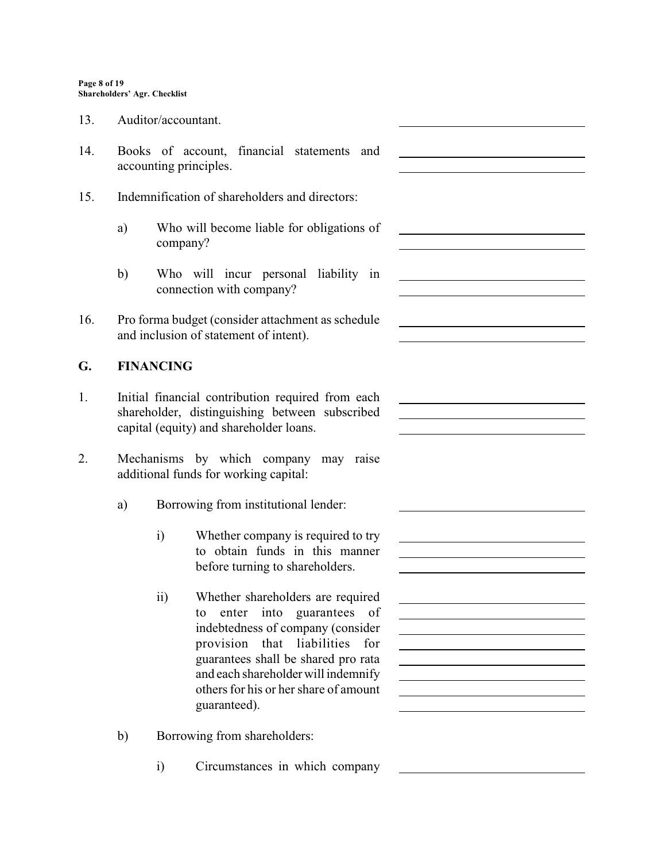- 13. Auditor/accountant.
- 14. Books of account, financial statements and accounting principles.
- 15. Indemnification of shareholders and directors:
	- a) Who will become liable for obligations of company?

 $\overline{a}$ 

 $\overline{a}$ 

 $\overline{a}$ 

 $\overline{a}$ 

 $\overline{a}$ 

 $\overline{a}$ 

<u> 1980 - Jan Stein Stein Stein Stein Stein Stein Stein Stein Stein Stein Stein Stein Stein Stein Stein Stein S</u>

- b) Who will incur personal liability in connection with company?
- 16. Pro forma budget (consider attachment as schedule and inclusion of statement of intent).

## **G. FINANCING**

- 1. Initial financial contribution required from each shareholder, distinguishing between subscribed capital (equity) and shareholder loans.
- 2. Mechanisms by which company may raise additional funds for working capital:
	- a) Borrowing from institutional lender:
		- i) Whether company is required to try to obtain funds in this manner before turning to shareholders.
		- ii) Whether shareholders are required to enter into guarantees of indebtedness of company (consider provision that liabilities for guarantees shall be shared pro rata and each shareholder will indemnify others for his or her share of amount guaranteed).
	- b) Borrowing from shareholders:
		- i) Circumstances in which company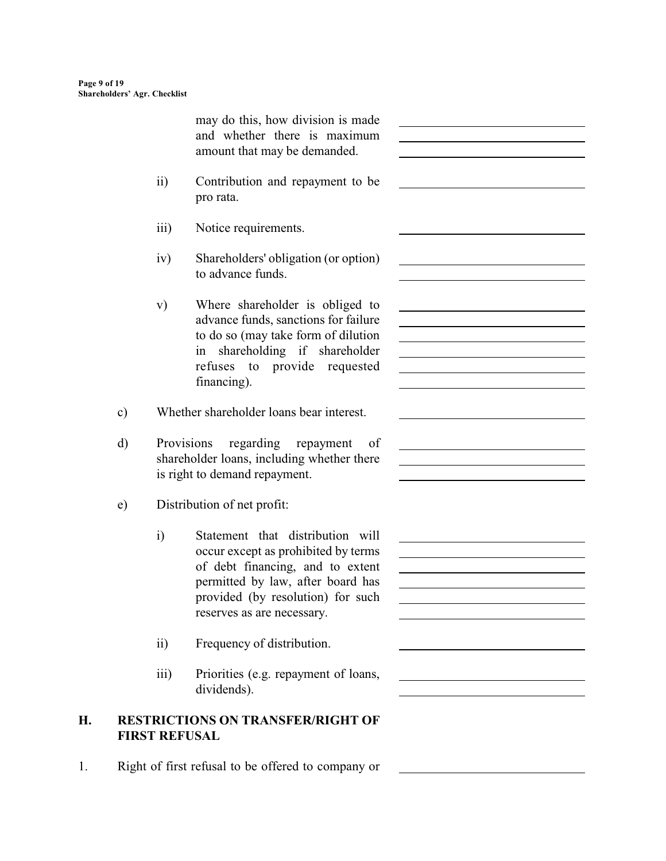|           |                  | may do this, how division is made<br>and whether there is maximum<br>amount that may be demanded.                                                                                                                   | <u> 1989 - Johann Barbara, martin amerikan basar dan basa dan basa dan basa dan basa dan basa dalam basa dan basa</u>     |
|-----------|------------------|---------------------------------------------------------------------------------------------------------------------------------------------------------------------------------------------------------------------|---------------------------------------------------------------------------------------------------------------------------|
|           | $\overline{ii}$  | Contribution and repayment to be<br>pro rata.                                                                                                                                                                       |                                                                                                                           |
|           | $\overline{111}$ | Notice requirements.                                                                                                                                                                                                |                                                                                                                           |
|           | iv)              | Shareholders' obligation (or option)<br>to advance funds.                                                                                                                                                           |                                                                                                                           |
|           | $\mathbf{v})$    | Where shareholder is obliged to<br>advance funds, sanctions for failure<br>to do so (may take form of dilution<br>in shareholding if shareholder<br>refuses to provide requested<br>financing).                     | <u> 1989 - Johann Barbara, martxa alemaniar amerikan a</u><br><u> 1989 - Johann Stein, mars an de Brazilian (b. 1989)</u> |
| $\circ$ ) |                  | Whether shareholder loans bear interest.                                                                                                                                                                            |                                                                                                                           |
| d)        |                  | Provisions<br>regarding repayment<br>of<br>shareholder loans, including whether there<br>is right to demand repayment.                                                                                              |                                                                                                                           |
| e)        |                  | Distribution of net profit:                                                                                                                                                                                         |                                                                                                                           |
|           | $\mathbf{i}$     | Statement that distribution will<br>occur except as prohibited by terms<br>of debt financing, and to extent<br>permitted by law, after board has<br>provided (by resolution) for such<br>reserves as are necessary. |                                                                                                                           |
|           | $\overline{ii}$  | Frequency of distribution.                                                                                                                                                                                          |                                                                                                                           |
|           | iii)             | Priorities (e.g. repayment of loans,<br>dividends).                                                                                                                                                                 |                                                                                                                           |

1. Right of first refusal to be offered to company or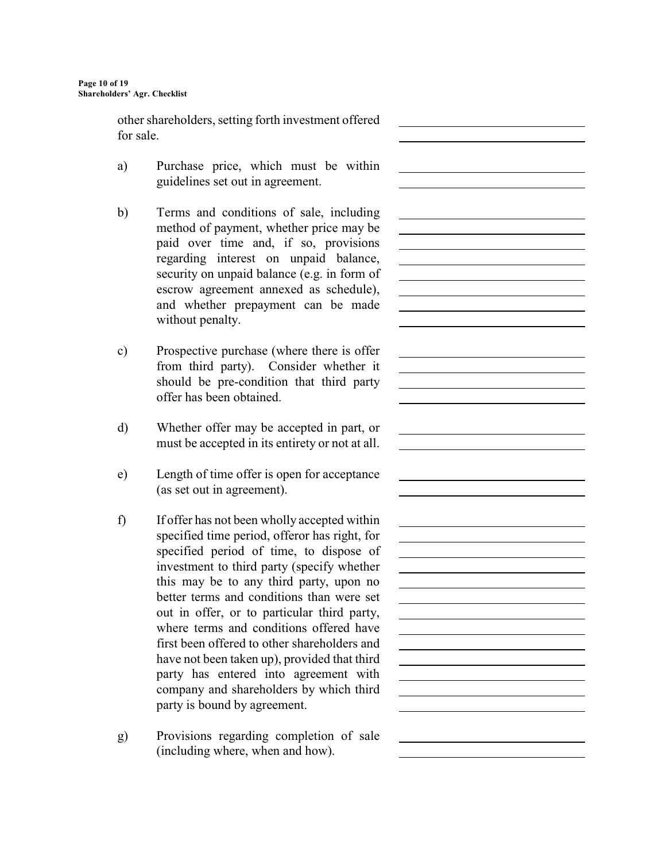other shareholders, setting forth investment offered for sale.

 $\overline{a}$ 

 $\overline{a}$ 

 $\overline{a}$ 

 $\overline{a}$ 

 $\overline{a}$ 

 $\overline{a}$ 

 $\overline{a}$ 

<u> 1980 - Johann Barn, mars ar breithinn ar chuid ann an t-Alban ann an t-Alban ann an t-Alban ann an t-Alban a</u>

- a) Purchase price, which must be within guidelines set out in agreement.
- b) Terms and conditions of sale, including method of payment, whether price may be paid over time and, if so, provisions regarding interest on unpaid balance, security on unpaid balance (e.g. in form of escrow agreement annexed as schedule), and whether prepayment can be made without penalty.
- c) Prospective purchase (where there is offer from third party). Consider whether it should be pre-condition that third party offer has been obtained.
- d) Whether offer may be accepted in part, or must be accepted in its entirety or not at all.
- e) Length of time offer is open for acceptance (as set out in agreement).
- f) If offer has not been wholly accepted within specified time period, offeror has right, for specified period of time, to dispose of investment to third party (specify whether this may be to any third party, upon no better terms and conditions than were set out in offer, or to particular third party, where terms and conditions offered have first been offered to other shareholders and have not been taken up), provided that third party has entered into agreement with company and shareholders by which third party is bound by agreement.
- g) Provisions regarding completion of sale (including where, when and how).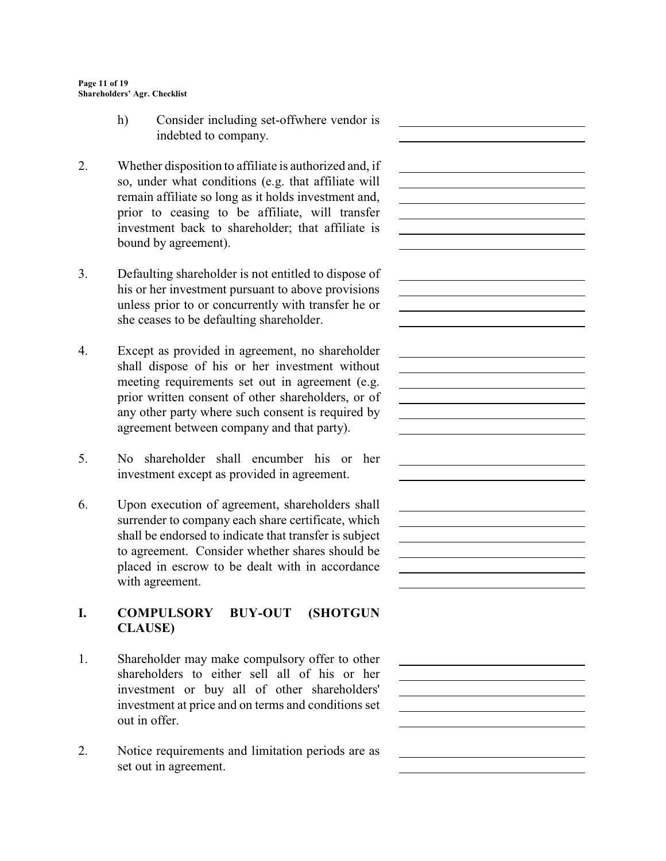h) Consider including set-offwhere vendor is indebted to company.

 $\overline{a}$ 

 $\overline{a}$ 

<u> 1989 - Johann Barn, mars ann an t-Amhain Aonaich an t-Aonaich an t-Aonaich ann an t-Aonaich ann an t-Aonaich</u>

 $\overline{a}$ 

 $\overline{a}$ 

 $\overline{a}$ 

 $\overline{a}$ 

 $\overline{a}$ 

- 2. Whether disposition to affiliate is authorized and, if so, under what conditions (e.g. that affiliate will remain affiliate so long as it holds investment and, prior to ceasing to be affiliate, will transfer investment back to shareholder; that affiliate is bound by agreement).
- 3. Defaulting shareholder is not entitled to dispose of his or her investment pursuant to above provisions unless prior to or concurrently with transfer he or she ceases to be defaulting shareholder.
- 4. Except as provided in agreement, no shareholder shall dispose of his or her investment without meeting requirements set out in agreement (e.g. prior written consent of other shareholders, or of any other party where such consent is required by agreement between company and that party).
- 5. No shareholder shall encumber his or her investment except as provided in agreement.
- 6. Upon execution of agreement, shareholders shall surrender to company each share certificate, which shall be endorsed to indicate that transfer is subject to agreement. Consider whether shares should be placed in escrow to be dealt with in accordance with agreement.

# **I. COMPULSORY BUY-OUT (SHOTGUN CLAUSE)**

- 1. Shareholder may make compulsory offer to other shareholders to either sell all of his or her investment or buy all of other shareholders' investment at price and on terms and conditions set out in offer.
- 2. Notice requirements and limitation periods are as set out in agreement.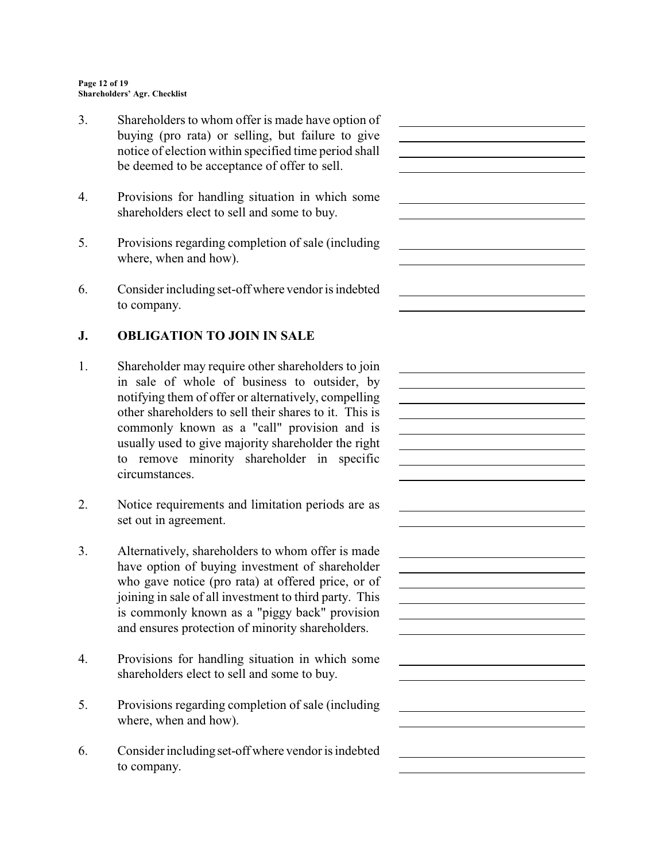3. Shareholders to whom offer is made have option of buying (pro rata) or selling, but failure to give notice of election within specified time period shall be deemed to be acceptance of offer to sell.

 $\overline{a}$ 

 $\overline{a}$ 

 $\overline{a}$ 

 $\overline{a}$ 

 $\overline{a}$ 

<u> 1989 - Johann Barn, mars ann an t-Amhain Aonaich an t-Aonaich an t-Aonaich ann an t-Aonaich ann an t-Aonaich</u>

<u> 1980 - Johann Barn, mars ar breithinn ar chuid ann an t-Alban ann an t-Alban ann an t-Alban ann an t-Alban a</u>

- 4. Provisions for handling situation in which some shareholders elect to sell and some to buy.
- 5. Provisions regarding completion of sale (including where, when and how).
- 6. Consider including set-off where vendor is indebted to company.

# **J. OBLIGATION TO JOIN IN SALE**

- 1. Shareholder may require other shareholders to join in sale of whole of business to outsider, by notifying them of offer or alternatively, compelling other shareholders to sell their shares to it. This is commonly known as a "call" provision and is usually used to give majority shareholder the right to remove minority shareholder in specific circumstances.
- 2. Notice requirements and limitation periods are as set out in agreement.
- 3. Alternatively, shareholders to whom offer is made have option of buying investment of shareholder who gave notice (pro rata) at offered price, or of joining in sale of all investment to third party. This is commonly known as a "piggy back" provision and ensures protection of minority shareholders.
- 4. Provisions for handling situation in which some shareholders elect to sell and some to buy.
- 5. Provisions regarding completion of sale (including where, when and how).
- 6. Consider including set-off where vendor is indebted to company.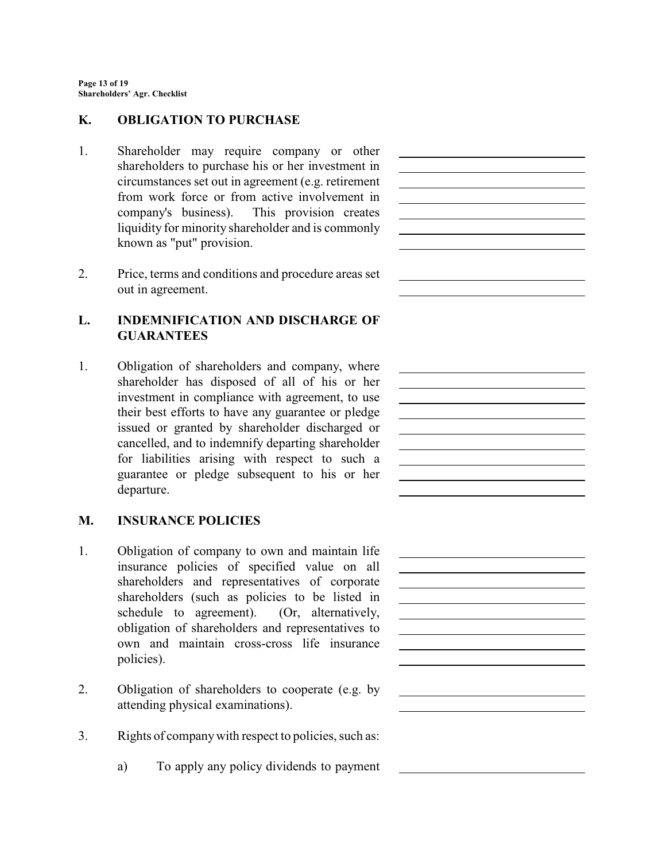#### **K. OBLIGATION TO PURCHASE**

1. Shareholder may require company or other shareholders to purchase his or her investment in circumstances set out in agreement (e.g. retirement from work force or from active involvement in company's business). This provision creates liquidity for minority shareholder and is commonly known as "put" provision.

 $\overline{a}$ 

 $\overline{a}$ 

<u> 1989 - Johann Barn, mars eta bainar eta baina eta baina eta baina eta baina eta baina eta baina eta baina e</u>

<u> 1980 - Johann Barn, mars eta bainar eta baina eta baina eta baina eta baina eta baina eta baina eta baina e</u>

 $\overline{a}$ 

 $\overline{a}$ 

2. Price, terms and conditions and procedure areas set out in agreement.

## **L. INDEMNIFICATION AND DISCHARGE OF GUARANTEES**

1. Obligation of shareholders and company, where shareholder has disposed of all of his or her investment in compliance with agreement, to use their best efforts to have any guarantee or pledge issued or granted by shareholder discharged or cancelled, and to indemnify departing shareholder for liabilities arising with respect to such a guarantee or pledge subsequent to his or her departure.

#### **M. INSURANCE POLICIES**

- 1. Obligation of company to own and maintain life insurance policies of specified value on all shareholders and representatives of corporate shareholders (such as policies to be listed in schedule to agreement). (Or, alternatively, obligation of shareholders and representatives to own and maintain cross-cross life insurance policies).
- 2. Obligation of shareholders to cooperate (e.g. by attending physical examinations).
- 3. Rights of company with respect to policies, such as:
	- a) To apply any policy dividends to payment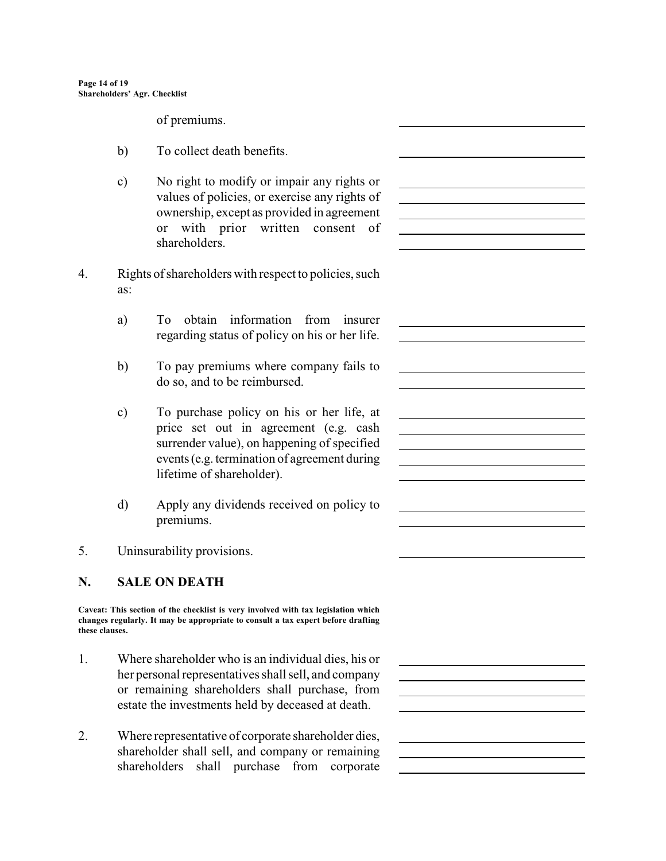of premiums.

- b) To collect death benefits.
- c) No right to modify or impair any rights or values of policies, or exercise any rights of ownership, except as provided in agreement or with prior written consent of shareholders.

 $\overline{a}$ 

<u> 1980 - Johann Barn, mars eta bainar eta baina eta baina eta baina eta baina eta baina eta baina eta baina e</u>

<u> 1980 - Johann Barn, mars ann an t-Amhain Aonaich an t-Aonaich an t-Aonaich ann an t-Aonaich ann an t-Aonaich</u>

<u> 1989 - Johann Barbara, martxa alemaniar a</u>

 $\overline{a}$ 

 $\overline{a}$ 

 $\overline{a}$ 

 $\overline{a}$ 

 $\overline{a}$ 

l

- 4. Rights of shareholders with respect to policies, such as:
	- a) To obtain information from insurer regarding status of policy on his or her life.
	- b) To pay premiums where company fails to do so, and to be reimbursed.
	- c) To purchase policy on his or her life, at price set out in agreement (e.g. cash surrender value), on happening of specified events (e.g. termination of agreement during lifetime of shareholder).
	- d) Apply any dividends received on policy to premiums.
- 5. Uninsurability provisions.

# **N. SALE ON DEATH**

**Caveat: This section of the checklist is very involved with tax legislation which changes regularly. It may be appropriate to consult a tax expert before drafting these clauses.**

- 1. Where shareholder who is an individual dies, his or her personal representatives shall sell, and company or remaining shareholders shall purchase, from estate the investments held by deceased at death.
- 2. Where representative of corporate shareholder dies, shareholder shall sell, and company or remaining shareholders shall purchase from corporate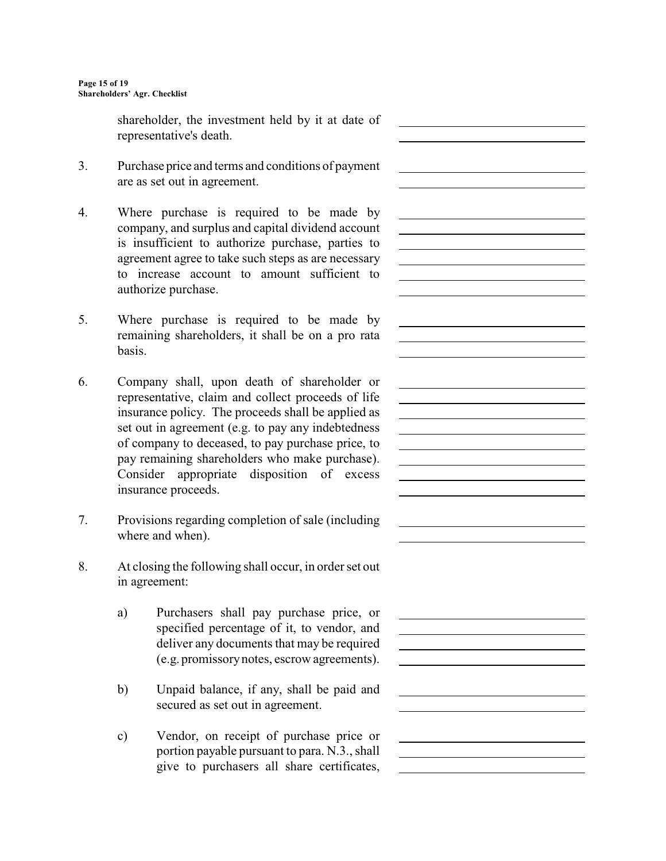shareholder, the investment held by it at date of representative's death.

 $\overline{a}$ 

 $\overline{a}$ 

l

 $\overline{a}$ 

 $\overline{a}$ 

 $\overline{a}$ 

 $\overline{a}$ 

 $\overline{a}$ 

l

- 3. Purchase price and terms and conditions of payment are as set out in agreement.
- 4. Where purchase is required to be made by company, and surplus and capital dividend account is insufficient to authorize purchase, parties to agreement agree to take such steps as are necessary to increase account to amount sufficient to authorize purchase.
- 5. Where purchase is required to be made by remaining shareholders, it shall be on a pro rata basis.
- 6. Company shall, upon death of shareholder or representative, claim and collect proceeds of life insurance policy. The proceeds shall be applied as set out in agreement (e.g. to pay any indebtedness of company to deceased, to pay purchase price, to pay remaining shareholders who make purchase). Consider appropriate disposition of excess insurance proceeds.
- 7. Provisions regarding completion of sale (including where and when).
- 8. At closing the following shall occur, in order set out in agreement:
	- a) Purchasers shall pay purchase price, or specified percentage of it, to vendor, and deliver any documents that may be required (e.g. promissory notes, escrow agreements).
	- b) Unpaid balance, if any, shall be paid and secured as set out in agreement.
	- c) Vendor, on receipt of purchase price or portion payable pursuant to para. N.3., shall give to purchasers all share certificates,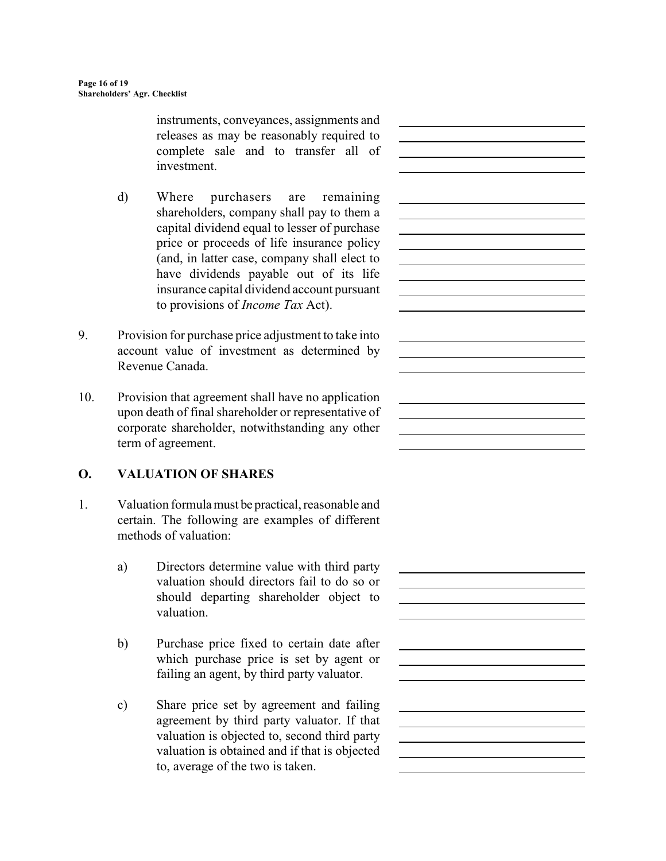instruments, conveyances, assignments and releases as may be reasonably required to complete sale and to transfer all of investment.

 $\overline{a}$ 

 $\overline{a}$ 

<u> 1980 - Johann Barn, mars ann an t-Amhain Aonaich an t-Aonaich an t-Aonaich ann an t-Aonaich ann an t-Aonaich</u>

<u> 1989 - Johann Barn, mars ann an t-Amhain Aonaich an t-Aonaich an t-Aonaich an t-Aonaich an t-Aonaich an t-Aon</u>

l

 $\overline{a}$ 

 $\overline{a}$ 

 $\overline{a}$ 

 $\overline{a}$ 

- d) Where purchasers are remaining shareholders, company shall pay to them a capital dividend equal to lesser of purchase price or proceeds of life insurance policy (and, in latter case, company shall elect to have dividends payable out of its life insurance capital dividend account pursuant to provisions of *Income Tax* Act).
- 9. Provision for purchase price adjustment to take into account value of investment as determined by Revenue Canada.
- 10. Provision that agreement shall have no application upon death of final shareholder or representative of corporate shareholder, notwithstanding any other term of agreement.

# **O. VALUATION OF SHARES**

- 1. Valuation formula must be practical, reasonable and certain. The following are examples of different methods of valuation:
	- a) Directors determine value with third party valuation should directors fail to do so or should departing shareholder object to valuation.
	- b) Purchase price fixed to certain date after which purchase price is set by agent or failing an agent, by third party valuator.
	- c) Share price set by agreement and failing agreement by third party valuator. If that valuation is objected to, second third party valuation is obtained and if that is objected to, average of the two is taken.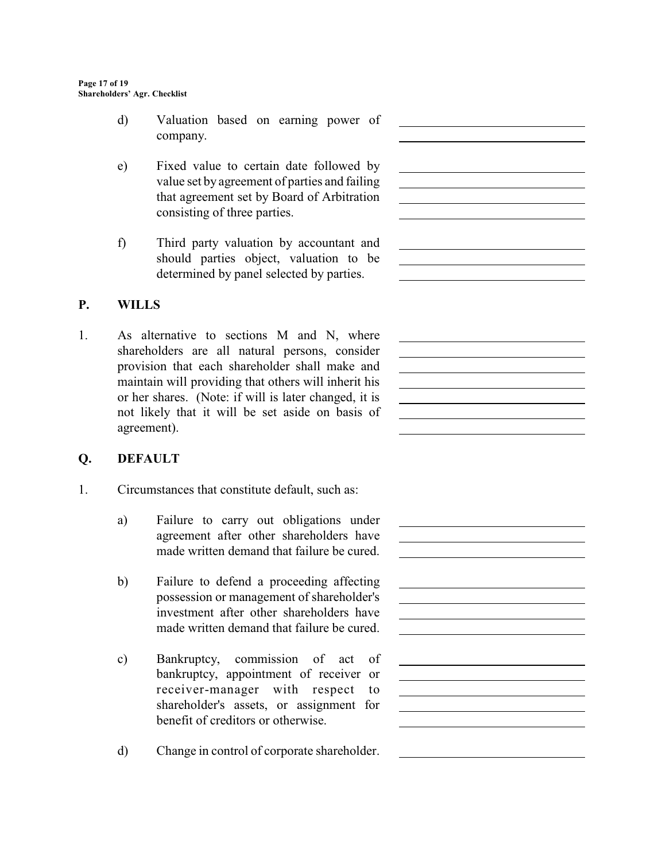d) Valuation based on earning power of company.

 $\overline{a}$ 

 $\overline{a}$ 

 $\overline{a}$ 

 $\overline{a}$ 

 $\overline{a}$ 

<u> 1980 - Johann Barn, mars ann an t-Amhain Aonaich an t-Aonaich an t-Aonaich ann an t-Aonaich ann an t-Aonaich</u>

 $\overline{a}$ 

- e) Fixed value to certain date followed by value set by agreement of parties and failing that agreement set by Board of Arbitration consisting of three parties.
- f) Third party valuation by accountant and should parties object, valuation to be determined by panel selected by parties.

# **P. WILLS**

1. As alternative to sections M and N, where shareholders are all natural persons, consider provision that each shareholder shall make and maintain will providing that others will inherit his or her shares. (Note: if will is later changed, it is not likely that it will be set aside on basis of agreement).

# **Q. DEFAULT**

- 1. Circumstances that constitute default, such as:
	- a) Failure to carry out obligations under agreement after other shareholders have made written demand that failure be cured.
	- b) Failure to defend a proceeding affecting possession or management of shareholder's investment after other shareholders have made written demand that failure be cured.
	- c) Bankruptcy, commission of act of bankruptcy, appointment of receiver or receiver-manager with respect to shareholder's assets, or assignment for benefit of creditors or otherwise.
	- d) Change in control of corporate shareholder.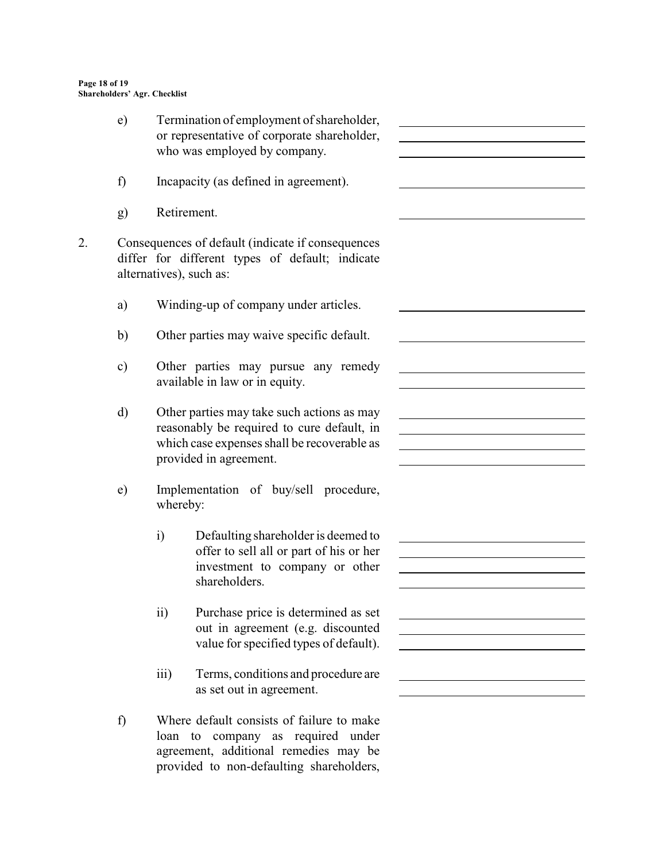|    | e)                                                                                                                                                                                                                                                                | Termination of employment of shareholder,<br>or representative of corporate shareholder,<br>who was employed by company.                                            | <u> 1989 - Johann Stein, marwolaethau a bhann an t-Amhain an t-Amhain an t-Amhain an t-Amhain an t-Amhain an t-A</u>  |
|----|-------------------------------------------------------------------------------------------------------------------------------------------------------------------------------------------------------------------------------------------------------------------|---------------------------------------------------------------------------------------------------------------------------------------------------------------------|-----------------------------------------------------------------------------------------------------------------------|
|    | f)                                                                                                                                                                                                                                                                | Incapacity (as defined in agreement).                                                                                                                               |                                                                                                                       |
|    | g)                                                                                                                                                                                                                                                                | Retirement.                                                                                                                                                         |                                                                                                                       |
| 2. |                                                                                                                                                                                                                                                                   | Consequences of default (indicate if consequences<br>differ for different types of default; indicate<br>alternatives), such as:                                     |                                                                                                                       |
|    | a)                                                                                                                                                                                                                                                                | Winding-up of company under articles.                                                                                                                               |                                                                                                                       |
|    | b)                                                                                                                                                                                                                                                                | Other parties may waive specific default.                                                                                                                           |                                                                                                                       |
|    | Other parties may pursue any remedy<br>$\mathbf{c})$<br>available in law or in equity.<br>d)<br>Other parties may take such actions as may<br>reasonably be required to cure default, in<br>which case expenses shall be recoverable as<br>provided in agreement. |                                                                                                                                                                     |                                                                                                                       |
|    |                                                                                                                                                                                                                                                                   |                                                                                                                                                                     | <u> 1989 - Johann Barbara, martin amerikan basar dan berasal dan berasal dalam basar dalam basar dalam basar dala</u> |
|    | e)                                                                                                                                                                                                                                                                | Implementation of buy/sell procedure,<br>whereby:                                                                                                                   |                                                                                                                       |
|    |                                                                                                                                                                                                                                                                   | $\mathbf{i}$<br>Defaulting shareholder is deemed to<br>offer to sell all or part of his or her<br>investment to company or other<br>shareholders.                   |                                                                                                                       |
|    |                                                                                                                                                                                                                                                                   | $\mathbf{ii}$<br>Purchase price is determined as set<br>out in agreement (e.g. discounted<br>value for specified types of default).                                 | <u> 1989 - Johann Barbara, martxa alemaniar arg</u>                                                                   |
|    |                                                                                                                                                                                                                                                                   | Terms, conditions and procedure are<br>$\overline{iii}$<br>as set out in agreement.                                                                                 |                                                                                                                       |
|    | f)                                                                                                                                                                                                                                                                | Where default consists of failure to make<br>loan to company as required under<br>agreement, additional remedies may be<br>provided to non-defaulting shareholders, |                                                                                                                       |